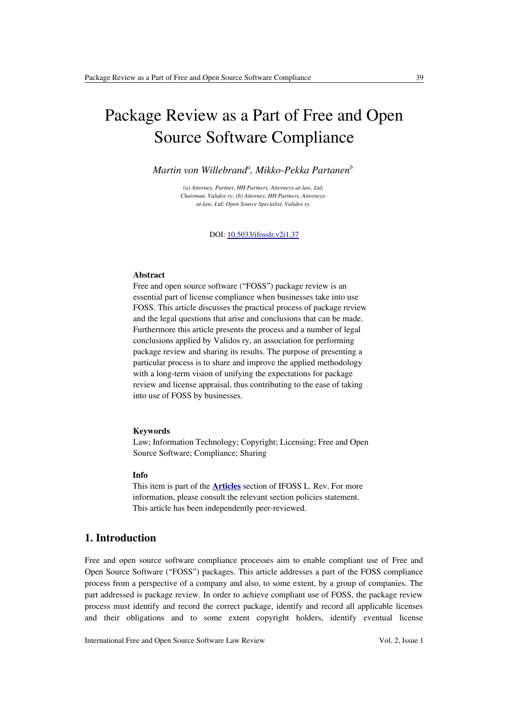# Package Review as a Part of Free and Open Source Software Compliance

*Martin von Willebrand<sup>a</sup> , Mikko-Pekka Partanen<sup>b</sup>*

*(a) Attorney, Partner, HH Partners, Attorneys-at-law, Ltd; Chairman, Validos ry; (b) Attorney, HH Partners, Attorneysat-law, Ltd; Open Source Specialist, Validos ry.*

DOI: [10.5033/ifosslr.v2i1.37](http://dx.doi.org/10.5033/ifosslr.v2i1.37)

#### **Abstract**

Free and open source software ("FOSS") package review is an essential part of license compliance when businesses take into use FOSS. This article discusses the practical process of package review and the legal questions that arise and conclusions that can be made. Furthermore this article presents the process and a number of legal conclusions applied by Validos ry, an association for performing package review and sharing its results. The purpose of presenting a particular process is to share and improve the applied methodology with a long-term vision of unifying the expectations for package review and license appraisal, thus contributing to the ease of taking into use of FOSS by businesses.

#### **Keywords**

Law; Information Technology; Copyright; Licensing; Free and Open Source Software; Compliance; Sharing

## **Info**

This item is part of the **[Articles](http://www.ifosslr.org/ifosslr/about/editorialPolicies#sectionPolicies)** section of IFOSS L. Rev. For more information, please consult the relevant section policies statement. This article has been independently peer-reviewed.

# **1. Introduction**

Free and open source software compliance processes aim to enable compliant use of Free and Open Source Software ("FOSS") packages. This article addresses a part of the FOSS compliance process from a perspective of a company and also, to some extent, by a group of companies. The part addressed is package review. In order to achieve compliant use of FOSS, the package review process must identify and record the correct package, identify and record all applicable licenses and their obligations and to some extent copyright holders, identify eventual license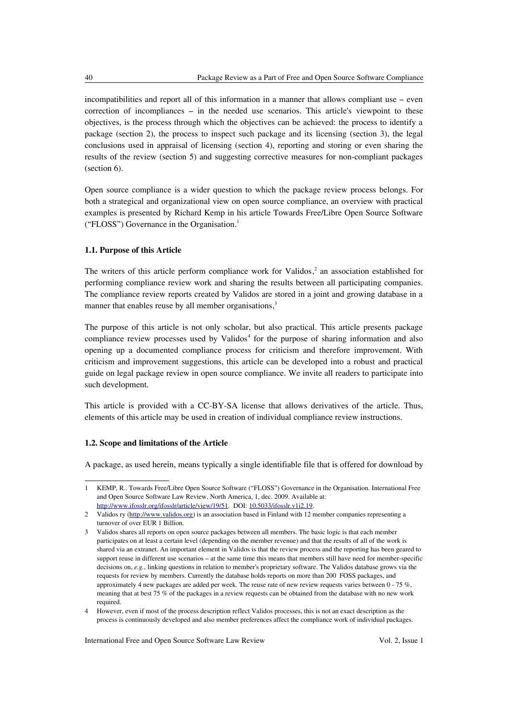incompatibilities and report all of this information in a manner that allows compliant use – even correction of incompliances – in the needed use scenarios. This article's viewpoint to these objectives, is the process through which the objectives can be achieved: the process to identify a package (section 2), the process to inspect such package and its licensing (section 3), the legal conclusions used in appraisal of licensing (section 4), reporting and storing or even sharing the results of the review (section 5) and suggesting corrective measures for non-compliant packages (section 6).

Open source compliance is a wider question to which the package review process belongs. For both a strategical and organizational view on open source compliance, an overview with practical examples is presented by Richard Kemp in his article Towards Free/Libre Open Source Software ("FLOSS") Governance in the Organisation. [1](#page-1-0)

## **1.1. Purpose of this Article**

The writers of this article perform compliance work for Validos,<sup>[2](#page-1-1)</sup> an association established for performing compliance review work and sharing the results between all participating companies. The compliance review reports created by Validos are stored in a joint and growing database in a manner that enables reuse by all member organisations,<sup>[3](#page-1-2)</sup>

The purpose of this article is not only scholar, but also practical. This article presents package compliance review processes used by Validos<sup>[4](#page-1-3)</sup> for the purpose of sharing information and also opening up a documented compliance process for criticism and therefore improvement. With criticism and improvement suggestions, this article can be developed into a robust and practical guide on legal package review in open source compliance. We invite all readers to participate into such development.

This article is provided with a CC-BY-SA license that allows derivatives of the article. Thus, elements of this article may be used in creation of individual compliance review instructions.

## **1.2. Scope and limitations of the Article**

A package, as used herein, means typically a single identifiable file that is offered for download by

<span id="page-1-3"></span>4 However, even if most of the process description reflect Validos processes, this is not an exact description as the process is continuously developed and also member preferences affect the compliance work of individual packages.

<span id="page-1-0"></span><sup>1</sup> KEMP, R.. Towards Free/Libre Open Source Software ("FLOSS") Governance in the Organisation. International Free and Open Source Software Law Review, North America, 1, dec. 2009. Available at: [http://www.ifosslr.org/ifosslr/article/view/19/51.](http://www.ifosslr.org/ifosslr/article/view/19/51) DOI: [10.5033/ifosslr.v1i2.19.](http://dx.doi.org/10.5033/ifosslr.v1i2.19)

<span id="page-1-1"></span><sup>2</sup> Validos ry [\(http://www.validos.org\)](http://www.validos.org/) is an association based in Finland with 12 member companies representing a turnover of over EUR 1 Billion.

<span id="page-1-2"></span><sup>3</sup> Validos shares all reports on open source packages between all members. The basic logic is that each member participates on at least a certain level (depending on the member revenue) and that the results of all of the work is shared via an extranet. An important element in Validos is that the review process and the reporting has been geared to support reuse in different use scenarios – at the same time this means that members still have need for member-specific decisions on, *e.g.*, linking questions in relation to member's proprietary software. The Validos database grows via the requests for review by members. Currently the database holds reports on more than 200 FOSS packages, and approximately 4 new packages are added per week. The reuse rate of new review requests varies between 0 - 75 %, meaning that at best 75 % of the packages in a review requests can be obtained from the database with no new work required.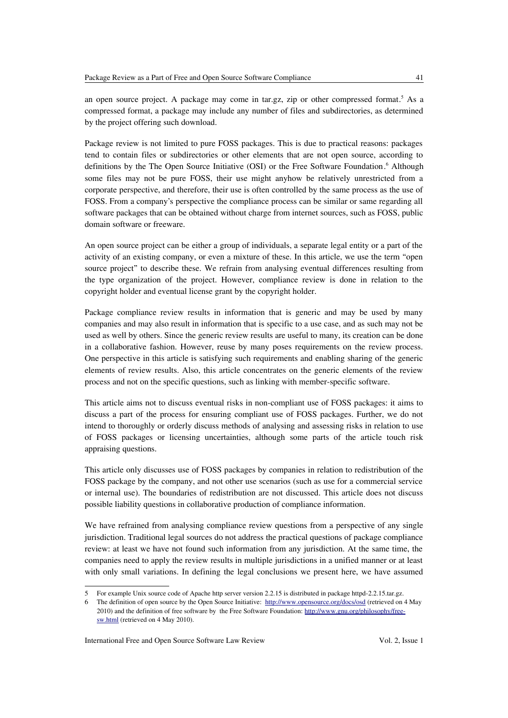an open source project. A package may come in tar.gz, zip or other compressed format.<sup>[5](#page-2-0)</sup> As a compressed format, a package may include any number of files and subdirectories, as determined by the project offering such download.

Package review is not limited to pure FOSS packages. This is due to practical reasons: packages tend to contain files or subdirectories or other elements that are not open source, according to definitions by the The Open Source Initiative (OSI) or the Free Software Foundation.<sup>[6](#page-2-1)</sup> Although some files may not be pure FOSS, their use might anyhow be relatively unrestricted from a corporate perspective, and therefore, their use is often controlled by the same process as the use of FOSS. From a company's perspective the compliance process can be similar or same regarding all software packages that can be obtained without charge from internet sources, such as FOSS, public domain software or freeware.

An open source project can be either a group of individuals, a separate legal entity or a part of the activity of an existing company, or even a mixture of these. In this article, we use the term "open source project" to describe these. We refrain from analysing eventual differences resulting from the type organization of the project. However, compliance review is done in relation to the copyright holder and eventual license grant by the copyright holder.

Package compliance review results in information that is generic and may be used by many companies and may also result in information that is specific to a use case, and as such may not be used as well by others. Since the generic review results are useful to many, its creation can be done in a collaborative fashion. However, reuse by many poses requirements on the review process. One perspective in this article is satisfying such requirements and enabling sharing of the generic elements of review results. Also, this article concentrates on the generic elements of the review process and not on the specific questions, such as linking with member-specific software.

This article aims not to discuss eventual risks in non-compliant use of FOSS packages: it aims to discuss a part of the process for ensuring compliant use of FOSS packages. Further, we do not intend to thoroughly or orderly discuss methods of analysing and assessing risks in relation to use of FOSS packages or licensing uncertainties, although some parts of the article touch risk appraising questions.

This article only discusses use of FOSS packages by companies in relation to redistribution of the FOSS package by the company, and not other use scenarios (such as use for a commercial service or internal use). The boundaries of redistribution are not discussed. This article does not discuss possible liability questions in collaborative production of compliance information.

We have refrained from analysing compliance review questions from a perspective of any single jurisdiction. Traditional legal sources do not address the practical questions of package compliance review: at least we have not found such information from any jurisdiction. At the same time, the companies need to apply the review results in multiple jurisdictions in a unified manner or at least with only small variations. In defining the legal conclusions we present here, we have assumed

<span id="page-2-0"></span><sup>5</sup> For example Unix source code of Apache http server version 2.2.15 is distributed in package httpd-2.2.15.tar.gz.

<span id="page-2-1"></span><sup>6</sup> The definition of open source by the Open Source Initiative: <http://www.opensource.org/docs/osd>(retrieved on 4 May 2010) and the definition of free software by the Free Software Foundation: [http://www.gnu.org/philosophy/free](http://www.gnu.org/philosophy/free-sw.html)[sw.html](http://www.gnu.org/philosophy/free-sw.html) (retrieved on 4 May 2010).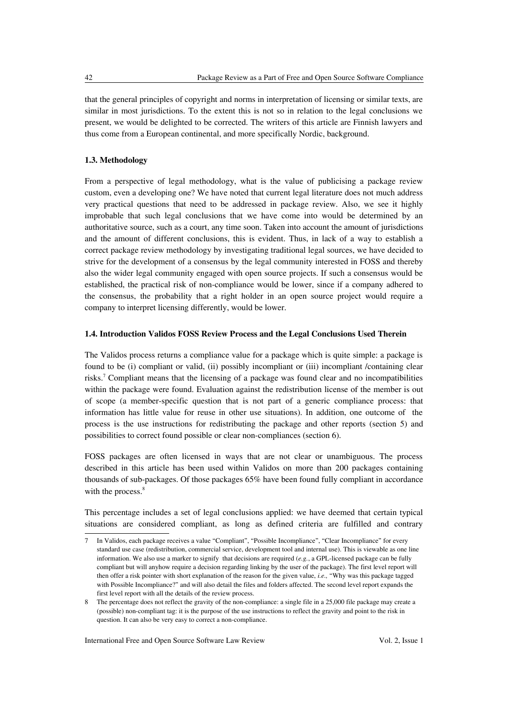that the general principles of copyright and norms in interpretation of licensing or similar texts, are similar in most jurisdictions. To the extent this is not so in relation to the legal conclusions we present, we would be delighted to be corrected. The writers of this article are Finnish lawyers and thus come from a European continental, and more specifically Nordic, background.

# **1.3. Methodology**

From a perspective of legal methodology, what is the value of publicising a package review custom, even a developing one? We have noted that current legal literature does not much address very practical questions that need to be addressed in package review. Also, we see it highly improbable that such legal conclusions that we have come into would be determined by an authoritative source, such as a court, any time soon. Taken into account the amount of jurisdictions and the amount of different conclusions, this is evident. Thus, in lack of a way to establish a correct package review methodology by investigating traditional legal sources, we have decided to strive for the development of a consensus by the legal community interested in FOSS and thereby also the wider legal community engaged with open source projects. If such a consensus would be established, the practical risk of non-compliance would be lower, since if a company adhered to the consensus, the probability that a right holder in an open source project would require a company to interpret licensing differently, would be lower.

## **1.4. Introduction Validos FOSS Review Process and the Legal Conclusions Used Therein**

The Validos process returns a compliance value for a package which is quite simple: a package is found to be (i) compliant or valid, (ii) possibly incompliant or (iii) incompliant /containing clear risks.[7](#page-3-0) Compliant means that the licensing of a package was found clear and no incompatibilities within the package were found. Evaluation against the redistribution license of the member is out of scope (a member-specific question that is not part of a generic compliance process: that information has little value for reuse in other use situations). In addition, one outcome of the process is the use instructions for redistributing the package and other reports (section 5) and possibilities to correct found possible or clear non-compliances (section 6).

FOSS packages are often licensed in ways that are not clear or unambiguous. The process described in this article has been used within Validos on more than 200 packages containing thousands of sub-packages. Of those packages 65% have been found fully compliant in accordance with the process.<sup>[8](#page-3-1)</sup>

This percentage includes a set of legal conclusions applied: we have deemed that certain typical situations are considered compliant, as long as defined criteria are fulfilled and contrary

<span id="page-3-0"></span><sup>7</sup> In Validos, each package receives a value "Compliant", "Possible Incompliance", "Clear Incompliance" for every standard use case (redistribution, commercial service, development tool and internal use). This is viewable as one line information. We also use a marker to signify that decisions are required (*e.g.*, a GPL-licensed package can be fully compliant but will anyhow require a decision regarding linking by the user of the package). The first level report will then offer a risk pointer with short explanation of the reason for the given value, *i.e.,* "Why was this package tagged with Possible Incompliance?" and will also detail the files and folders affected. The second level report expands the first level report with all the details of the review process.

<span id="page-3-1"></span><sup>8</sup> The percentage does not reflect the gravity of the non-compliance: a single file in a 25,000 file package may create a (possible) non-compliant tag: it is the purpose of the use instructions to reflect the gravity and point to the risk in question. It can also be very easy to correct a non-compliance.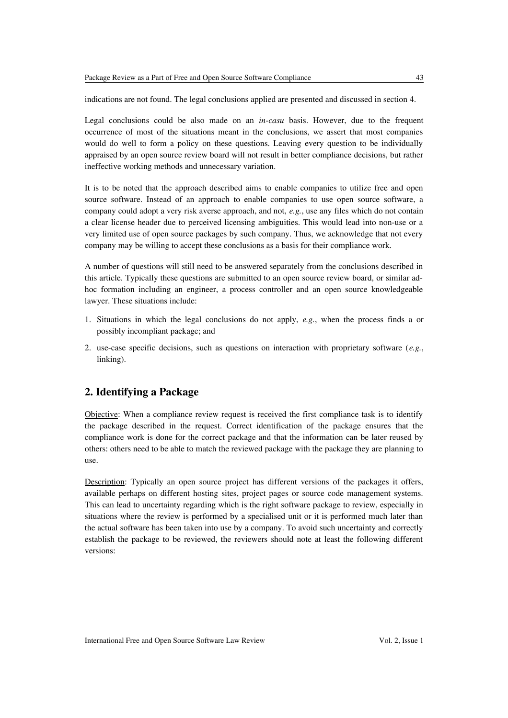indications are not found. The legal conclusions applied are presented and discussed in section 4.

Legal conclusions could be also made on an *in-casu* basis. However, due to the frequent occurrence of most of the situations meant in the conclusions, we assert that most companies would do well to form a policy on these questions. Leaving every question to be individually appraised by an open source review board will not result in better compliance decisions, but rather ineffective working methods and unnecessary variation.

It is to be noted that the approach described aims to enable companies to utilize free and open source software. Instead of an approach to enable companies to use open source software, a company could adopt a very risk averse approach, and not, *e.g.*, use any files which do not contain a clear license header due to perceived licensing ambiguities. This would lead into non-use or a very limited use of open source packages by such company. Thus, we acknowledge that not every company may be willing to accept these conclusions as a basis for their compliance work.

A number of questions will still need to be answered separately from the conclusions described in this article. Typically these questions are submitted to an open source review board, or similar adhoc formation including an engineer, a process controller and an open source knowledgeable lawyer. These situations include:

- 1. Situations in which the legal conclusions do not apply, *e.g.*, when the process finds a or possibly incompliant package; and
- 2. use-case specific decisions, such as questions on interaction with proprietary software (*e.g.*, linking).

# **2. Identifying a Package**

Objective: When a compliance review request is received the first compliance task is to identify the package described in the request. Correct identification of the package ensures that the compliance work is done for the correct package and that the information can be later reused by others: others need to be able to match the reviewed package with the package they are planning to use.

Description: Typically an open source project has different versions of the packages it offers, available perhaps on different hosting sites, project pages or source code management systems. This can lead to uncertainty regarding which is the right software package to review, especially in situations where the review is performed by a specialised unit or it is performed much later than the actual software has been taken into use by a company. To avoid such uncertainty and correctly establish the package to be reviewed, the reviewers should note at least the following different versions: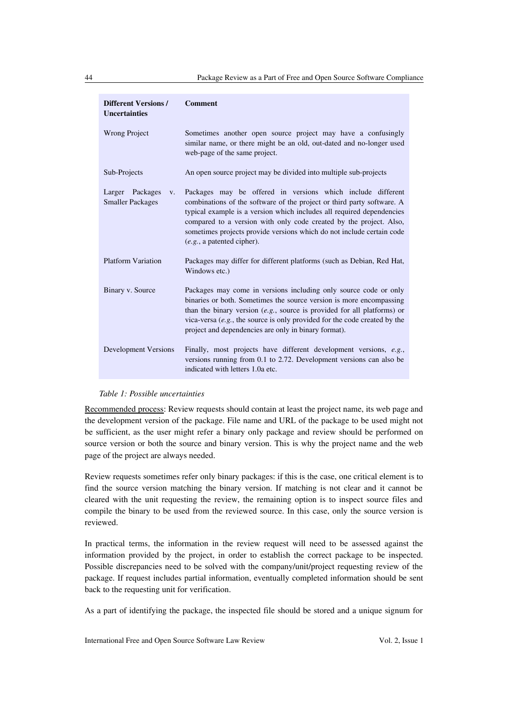| <b>Different Versions /</b><br><b>Uncertainties</b>       | <b>Comment</b>                                                                                                                                                                                                                                                                                                                                                                                |
|-----------------------------------------------------------|-----------------------------------------------------------------------------------------------------------------------------------------------------------------------------------------------------------------------------------------------------------------------------------------------------------------------------------------------------------------------------------------------|
| <b>Wrong Project</b>                                      | Sometimes another open source project may have a confusingly<br>similar name, or there might be an old, out-dated and no-longer used<br>web-page of the same project.                                                                                                                                                                                                                         |
| Sub-Projects                                              | An open source project may be divided into multiple sub-projects                                                                                                                                                                                                                                                                                                                              |
| Larger Packages<br>$V_{\star}$<br><b>Smaller Packages</b> | Packages may be offered in versions which include different<br>combinations of the software of the project or third party software. A<br>typical example is a version which includes all required dependencies<br>compared to a version with only code created by the project. Also,<br>sometimes projects provide versions which do not include certain code<br>$(e.g., a$ patented cipher). |
| <b>Platform Variation</b>                                 | Packages may differ for different platforms (such as Debian, Red Hat,<br>Windows etc.)                                                                                                                                                                                                                                                                                                        |
| Binary v. Source                                          | Packages may come in versions including only source code or only<br>binaries or both. Sometimes the source version is more encompassing<br>than the binary version $(e.g.,\)$ source is provided for all platforms) or<br>vica-versa $(e.g., the source is only provided for the code created by the$<br>project and dependencies are only in binary format).                                 |
| Development Versions                                      | Finally, most projects have different development versions, e.g.,<br>versions running from 0.1 to 2.72. Development versions can also be<br>indicated with letters 1.0a etc.                                                                                                                                                                                                                  |

#### *Table 1: Possible uncertainties*

Recommended process: Review requests should contain at least the project name, its web page and the development version of the package. File name and URL of the package to be used might not be sufficient, as the user might refer a binary only package and review should be performed on source version or both the source and binary version. This is why the project name and the web page of the project are always needed.

Review requests sometimes refer only binary packages: if this is the case, one critical element is to find the source version matching the binary version. If matching is not clear and it cannot be cleared with the unit requesting the review, the remaining option is to inspect source files and compile the binary to be used from the reviewed source. In this case, only the source version is reviewed.

In practical terms, the information in the review request will need to be assessed against the information provided by the project, in order to establish the correct package to be inspected. Possible discrepancies need to be solved with the company/unit/project requesting review of the package. If request includes partial information, eventually completed information should be sent back to the requesting unit for verification.

As a part of identifying the package, the inspected file should be stored and a unique signum for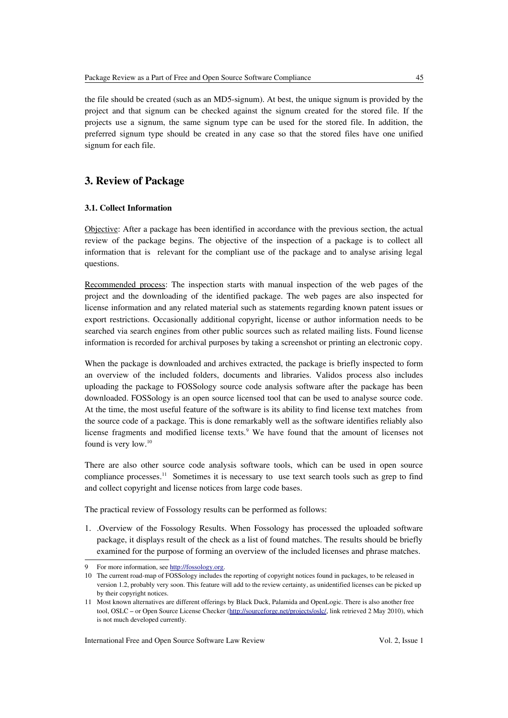the file should be created (such as an MD5-signum). At best, the unique signum is provided by the project and that signum can be checked against the signum created for the stored file. If the projects use a signum, the same signum type can be used for the stored file. In addition, the preferred signum type should be created in any case so that the stored files have one unified signum for each file.

# **3. Review of Package**

# **3.1. Collect Information**

Objective: After a package has been identified in accordance with the previous section, the actual review of the package begins. The objective of the inspection of a package is to collect all information that is relevant for the compliant use of the package and to analyse arising legal questions.

Recommended process: The inspection starts with manual inspection of the web pages of the project and the downloading of the identified package. The web pages are also inspected for license information and any related material such as statements regarding known patent issues or export restrictions. Occasionally additional copyright, license or author information needs to be searched via search engines from other public sources such as related mailing lists. Found license information is recorded for archival purposes by taking a screenshot or printing an electronic copy.

When the package is downloaded and archives extracted, the package is briefly inspected to form an overview of the included folders, documents and libraries. Validos process also includes uploading the package to FOSSology source code analysis software after the package has been downloaded. FOSSology is an open source licensed tool that can be used to analyse source code. At the time, the most useful feature of the software is its ability to find license text matches from the source code of a package. This is done remarkably well as the software identifies reliably also license fragments and modified license texts.<sup>[9](#page-6-0)</sup> We have found that the amount of licenses not found is very low.<sup>[10](#page-6-1)</sup>

There are also other source code analysis software tools, which can be used in open source compliance processes.<sup>[11](#page-6-2)</sup> Sometimes it is necessary to use text search tools such as grep to find and collect copyright and license notices from large code bases.

The practical review of Fossology results can be performed as follows:

1. .Overview of the Fossology Results. When Fossology has processed the uploaded software package, it displays result of the check as a list of found matches. The results should be briefly examined for the purpose of forming an overview of the included licenses and phrase matches.

<span id="page-6-0"></span><sup>9</sup> For more information, see [http://fossology.org.](http://fossology.org/)

<span id="page-6-1"></span><sup>10</sup> The current road-map of FOSSology includes the reporting of copyright notices found in packages, to be released in version 1.2, probably very soon. This feature will add to the review certainty, as unidentified licenses can be picked up by their copyright notices.

<span id="page-6-2"></span><sup>11</sup> Most known alternatives are different offerings by Black Duck, Palamida and OpenLogic. There is also another free tool, OSLC – or Open Source License Checker [\(http://sourceforge.net/projects/oslc/,](http://sourceforge.net/projects/oslc/) link retrieved 2 May 2010), which is not much developed currently.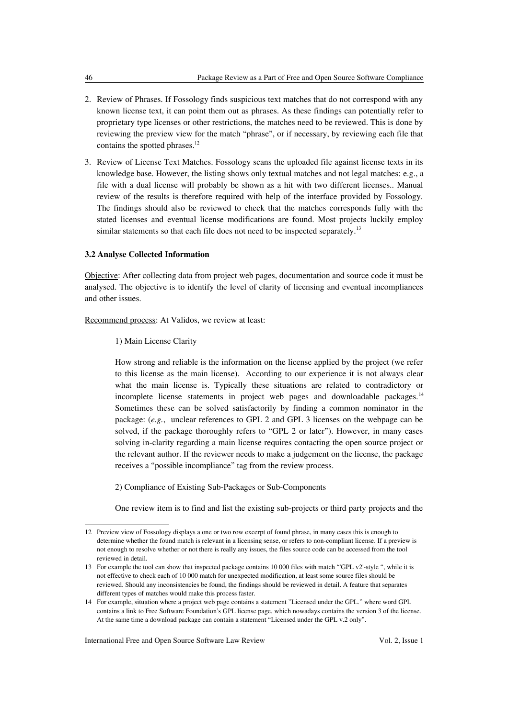- 2. Review of Phrases. If Fossology finds suspicious text matches that do not correspond with any known license text, it can point them out as phrases. As these findings can potentially refer to proprietary type licenses or other restrictions, the matches need to be reviewed. This is done by reviewing the preview view for the match "phrase", or if necessary, by reviewing each file that contains the spotted phrases.<sup>[12](#page-7-0)</sup>
- 3. Review of License Text Matches. Fossology scans the uploaded file against license texts in its knowledge base. However, the listing shows only textual matches and not legal matches: e.g., a file with a dual license will probably be shown as a hit with two different licenses.. Manual review of the results is therefore required with help of the interface provided by Fossology. The findings should also be reviewed to check that the matches corresponds fully with the stated licenses and eventual license modifications are found. Most projects luckily employ similar statements so that each file does not need to be inspected separately.<sup>[13](#page-7-1)</sup>

## **3.2 Analyse Collected Information**

Objective: After collecting data from project web pages, documentation and source code it must be analysed. The objective is to identify the level of clarity of licensing and eventual incompliances and other issues.

Recommend process: At Validos, we review at least:

1) Main License Clarity

How strong and reliable is the information on the license applied by the project (we refer to this license as the main license). According to our experience it is not always clear what the main license is. Typically these situations are related to contradictory or incomplete license statements in project web pages and downloadable packages.<sup>[14](#page-7-2)</sup> Sometimes these can be solved satisfactorily by finding a common nominator in the package: (*e.g.*, unclear references to GPL 2 and GPL 3 licenses on the webpage can be solved, if the package thoroughly refers to "GPL 2 or later"). However, in many cases solving in-clarity regarding a main license requires contacting the open source project or the relevant author. If the reviewer needs to make a judgement on the license, the package receives a "possible incompliance" tag from the review process.

2) Compliance of Existing Sub-Packages or Sub-Components

One review item is to find and list the existing sub-projects or third party projects and the

<span id="page-7-0"></span><sup>12</sup> Preview view of Fossology displays a one or two row excerpt of found phrase, in many cases this is enough to determine whether the found match is relevant in a licensing sense, or refers to non-compliant license. If a preview is not enough to resolve whether or not there is really any issues, the files source code can be accessed from the tool reviewed in detail.

<span id="page-7-1"></span><sup>13</sup> For example the tool can show that inspected package contains 10 000 files with match "'GPL v2'-style ", while it is not effective to check each of 10 000 match for unexpected modification, at least some source files should be reviewed. Should any inconsistencies be found, the findings should be reviewed in detail. A feature that separates different types of matches would make this process faster.

<span id="page-7-2"></span><sup>14</sup> For example, situation where a project web page contains a statement "Licensed under the GPL." where word GPL contains a link to Free Software Foundation's GPL license page, which nowadays contains the version 3 of the license. At the same time a download package can contain a statement "Licensed under the GPL v.2 only".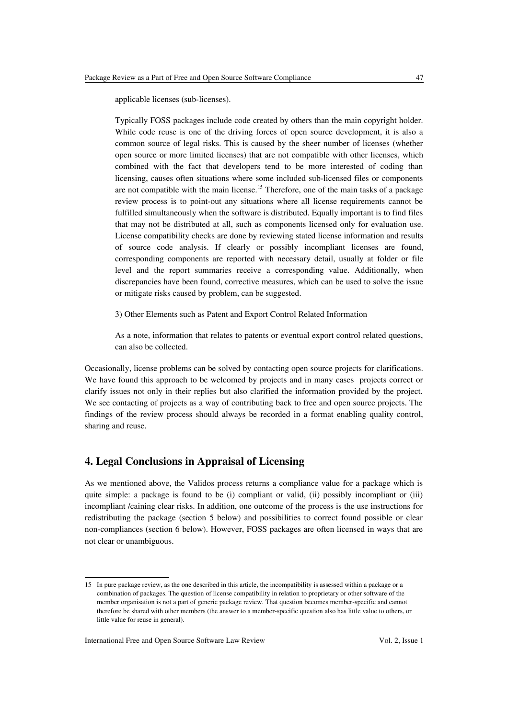applicable licenses (sub-licenses).

Typically FOSS packages include code created by others than the main copyright holder. While code reuse is one of the driving forces of open source development, it is also a common source of legal risks. This is caused by the sheer number of licenses (whether open source or more limited licenses) that are not compatible with other licenses, which combined with the fact that developers tend to be more interested of coding than licensing, causes often situations where some included sub-licensed files or components are not compatible with the main license.<sup>[15](#page-8-0)</sup> Therefore, one of the main tasks of a package review process is to point-out any situations where all license requirements cannot be fulfilled simultaneously when the software is distributed. Equally important is to find files that may not be distributed at all, such as components licensed only for evaluation use. License compatibility checks are done by reviewing stated license information and results of source code analysis. If clearly or possibly incompliant licenses are found, corresponding components are reported with necessary detail, usually at folder or file level and the report summaries receive a corresponding value. Additionally, when discrepancies have been found, corrective measures, which can be used to solve the issue or mitigate risks caused by problem, can be suggested.

3) Other Elements such as Patent and Export Control Related Information

As a note, information that relates to patents or eventual export control related questions, can also be collected.

Occasionally, license problems can be solved by contacting open source projects for clarifications. We have found this approach to be welcomed by projects and in many cases projects correct or clarify issues not only in their replies but also clarified the information provided by the project. We see contacting of projects as a way of contributing back to free and open source projects. The findings of the review process should always be recorded in a format enabling quality control, sharing and reuse.

# **4. Legal Conclusions in Appraisal of Licensing**

As we mentioned above, the Validos process returns a compliance value for a package which is quite simple: a package is found to be (i) compliant or valid, (ii) possibly incompliant or (iii) incompliant /caining clear risks. In addition, one outcome of the process is the use instructions for redistributing the package (section 5 below) and possibilities to correct found possible or clear non-compliances (section 6 below). However, FOSS packages are often licensed in ways that are not clear or unambiguous.

<span id="page-8-0"></span><sup>15</sup> In pure package review, as the one described in this article, the incompatibility is assessed within a package or a combination of packages. The question of license compatibility in relation to proprietary or other software of the member organisation is not a part of generic package review. That question becomes member-specific and cannot therefore be shared with other members (the answer to a member-specific question also has little value to others, or little value for reuse in general).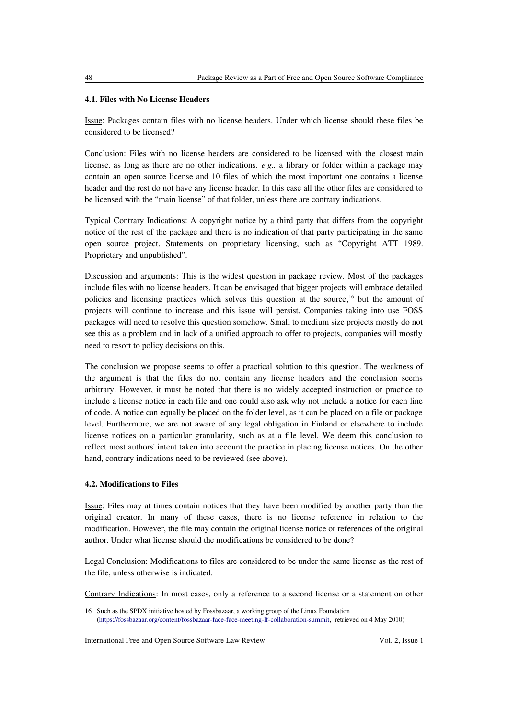# **4.1. Files with No License Headers**

Issue: Packages contain files with no license headers. Under which license should these files be considered to be licensed?

Conclusion: Files with no license headers are considered to be licensed with the closest main license, as long as there are no other indications. *e.g.,* a library or folder within a package may contain an open source license and 10 files of which the most important one contains a license header and the rest do not have any license header. In this case all the other files are considered to be licensed with the "main license" of that folder, unless there are contrary indications.

Typical Contrary Indications: A copyright notice by a third party that differs from the copyright notice of the rest of the package and there is no indication of that party participating in the same open source project. Statements on proprietary licensing, such as "Copyright ATT 1989. Proprietary and unpublished".

Discussion and arguments: This is the widest question in package review. Most of the packages include files with no license headers. It can be envisaged that bigger projects will embrace detailed policies and licensing practices which solves this question at the source,<sup>[16](#page-9-0)</sup> but the amount of projects will continue to increase and this issue will persist. Companies taking into use FOSS packages will need to resolve this question somehow. Small to medium size projects mostly do not see this as a problem and in lack of a unified approach to offer to projects, companies will mostly need to resort to policy decisions on this.

The conclusion we propose seems to offer a practical solution to this question. The weakness of the argument is that the files do not contain any license headers and the conclusion seems arbitrary. However, it must be noted that there is no widely accepted instruction or practice to include a license notice in each file and one could also ask why not include a notice for each line of code. A notice can equally be placed on the folder level, as it can be placed on a file or package level. Furthermore, we are not aware of any legal obligation in Finland or elsewhere to include license notices on a particular granularity, such as at a file level. We deem this conclusion to reflect most authors' intent taken into account the practice in placing license notices. On the other hand, contrary indications need to be reviewed (see above).

## **4.2. Modifications to Files**

Issue: Files may at times contain notices that they have been modified by another party than the original creator. In many of these cases, there is no license reference in relation to the modification. However, the file may contain the original license notice or references of the original author. Under what license should the modifications be considered to be done?

Legal Conclusion: Modifications to files are considered to be under the same license as the rest of the file, unless otherwise is indicated.

Contrary Indications: In most cases, only a reference to a second license or a statement on other

<span id="page-9-0"></span><sup>16</sup> Such as the SPDX initiative hosted by Fossbazaar, a working group of the Linux Foundation [\(https://fossbazaar.org/content/fossbazaar-face-face-meeting-lf-collaboration-summit,](https://fossbazaar.org/content/fossbazaar-face-face-meeting-lf-collaboration-summit) retrieved on 4 May 2010)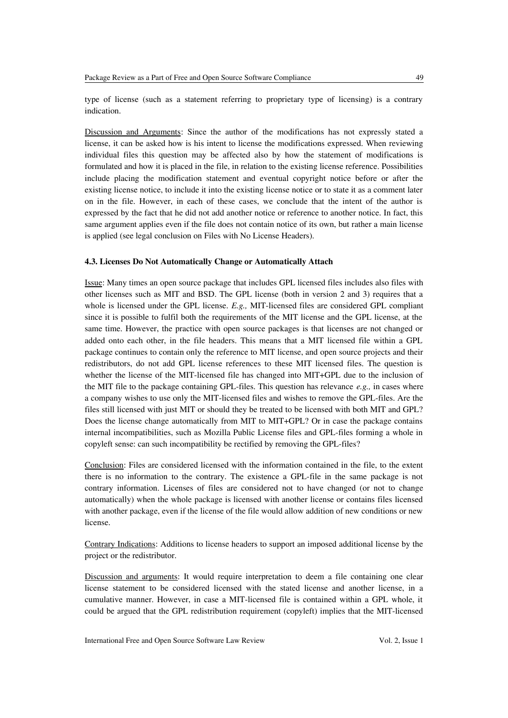type of license (such as a statement referring to proprietary type of licensing) is a contrary indication.

Discussion and Arguments: Since the author of the modifications has not expressly stated a license, it can be asked how is his intent to license the modifications expressed. When reviewing individual files this question may be affected also by how the statement of modifications is formulated and how it is placed in the file, in relation to the existing license reference. Possibilities include placing the modification statement and eventual copyright notice before or after the existing license notice, to include it into the existing license notice or to state it as a comment later on in the file. However, in each of these cases, we conclude that the intent of the author is expressed by the fact that he did not add another notice or reference to another notice. In fact, this same argument applies even if the file does not contain notice of its own, but rather a main license is applied (see legal conclusion on Files with No License Headers).

#### **4.3. Licenses Do Not Automatically Change or Automatically Attach**

Issue: Many times an open source package that includes GPL licensed files includes also files with other licenses such as MIT and BSD. The GPL license (both in version 2 and 3) requires that a whole is licensed under the GPL license. *E.g.,* MIT-licensed files are considered GPL compliant since it is possible to fulfil both the requirements of the MIT license and the GPL license, at the same time. However, the practice with open source packages is that licenses are not changed or added onto each other, in the file headers. This means that a MIT licensed file within a GPL package continues to contain only the reference to MIT license, and open source projects and their redistributors, do not add GPL license references to these MIT licensed files. The question is whether the license of the MIT-licensed file has changed into MIT+GPL due to the inclusion of the MIT file to the package containing GPL-files. This question has relevance *e.g.,* in cases where a company wishes to use only the MIT-licensed files and wishes to remove the GPL-files. Are the files still licensed with just MIT or should they be treated to be licensed with both MIT and GPL? Does the license change automatically from MIT to MIT+GPL? Or in case the package contains internal incompatibilities, such as Mozilla Public License files and GPL-files forming a whole in copyleft sense: can such incompatibility be rectified by removing the GPL-files?

Conclusion: Files are considered licensed with the information contained in the file, to the extent there is no information to the contrary. The existence a GPL-file in the same package is not contrary information. Licenses of files are considered not to have changed (or not to change automatically) when the whole package is licensed with another license or contains files licensed with another package, even if the license of the file would allow addition of new conditions or new license.

Contrary Indications: Additions to license headers to support an imposed additional license by the project or the redistributor.

Discussion and arguments: It would require interpretation to deem a file containing one clear license statement to be considered licensed with the stated license and another license, in a cumulative manner. However, in case a MIT-licensed file is contained within a GPL whole, it could be argued that the GPL redistribution requirement (copyleft) implies that the MIT-licensed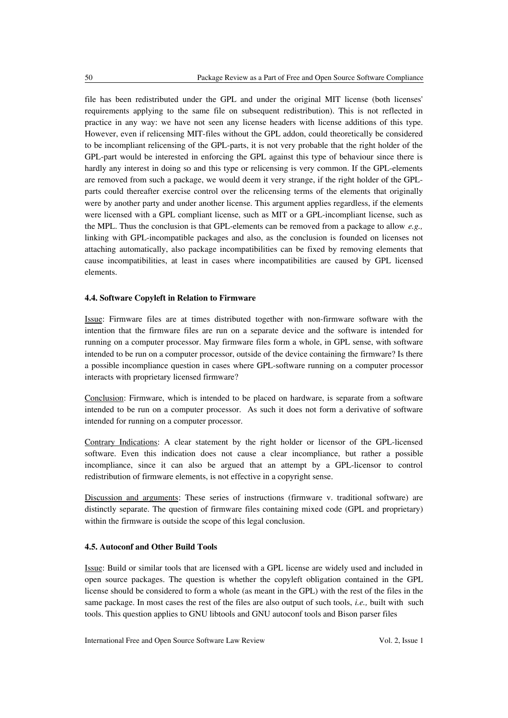file has been redistributed under the GPL and under the original MIT license (both licenses' requirements applying to the same file on subsequent redistribution). This is not reflected in practice in any way: we have not seen any license headers with license additions of this type. However, even if relicensing MIT-files without the GPL addon, could theoretically be considered to be incompliant relicensing of the GPL-parts, it is not very probable that the right holder of the GPL-part would be interested in enforcing the GPL against this type of behaviour since there is hardly any interest in doing so and this type or relicensing is very common. If the GPL-elements are removed from such a package, we would deem it very strange, if the right holder of the GPLparts could thereafter exercise control over the relicensing terms of the elements that originally were by another party and under another license. This argument applies regardless, if the elements were licensed with a GPL compliant license, such as MIT or a GPL-incompliant license, such as the MPL. Thus the conclusion is that GPL-elements can be removed from a package to allow *e.g.,* linking with GPL-incompatible packages and also, as the conclusion is founded on licenses not attaching automatically, also package incompatibilities can be fixed by removing elements that cause incompatibilities, at least in cases where incompatibilities are caused by GPL licensed elements.

#### **4.4. Software Copyleft in Relation to Firmware**

Issue: Firmware files are at times distributed together with non-firmware software with the intention that the firmware files are run on a separate device and the software is intended for running on a computer processor. May firmware files form a whole, in GPL sense, with software intended to be run on a computer processor, outside of the device containing the firmware? Is there a possible incompliance question in cases where GPL-software running on a computer processor interacts with proprietary licensed firmware?

Conclusion: Firmware, which is intended to be placed on hardware, is separate from a software intended to be run on a computer processor. As such it does not form a derivative of software intended for running on a computer processor.

Contrary Indications: A clear statement by the right holder or licensor of the GPL-licensed software. Even this indication does not cause a clear incompliance, but rather a possible incompliance, since it can also be argued that an attempt by a GPL-licensor to control redistribution of firmware elements, is not effective in a copyright sense.

Discussion and arguments: These series of instructions (firmware v. traditional software) are distinctly separate. The question of firmware files containing mixed code (GPL and proprietary) within the firmware is outside the scope of this legal conclusion.

#### **4.5. Autoconf and Other Build Tools**

Issue: Build or similar tools that are licensed with a GPL license are widely used and included in open source packages. The question is whether the copyleft obligation contained in the GPL license should be considered to form a whole (as meant in the GPL) with the rest of the files in the same package. In most cases the rest of the files are also output of such tools, *i.e.,* built with such tools. This question applies to GNU libtools and GNU autoconf tools and Bison parser files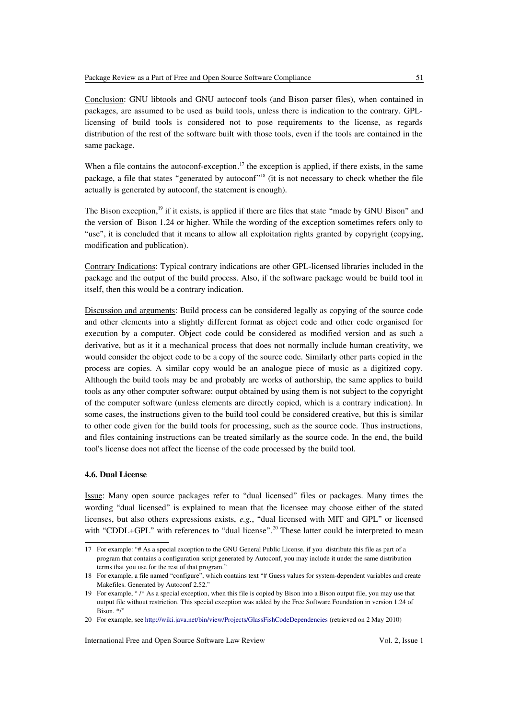Conclusion: GNU libtools and GNU autoconf tools (and Bison parser files), when contained in packages, are assumed to be used as build tools, unless there is indication to the contrary. GPLlicensing of build tools is considered not to pose requirements to the license, as regards distribution of the rest of the software built with those tools, even if the tools are contained in the same package.

When a file contains the autoconf-exception.<sup>[17](#page-12-0)</sup> the exception is applied, if there exists, in the same package, a file that states "generated by autoconf"<sup>[18](#page-12-1)</sup> (it is not necessary to check whether the file actually is generated by autoconf, the statement is enough).

The Bison exception,<sup>[19](#page-12-2)</sup> if it exists, is applied if there are files that state "made by GNU Bison" and the version of Bison 1.24 or higher. While the wording of the exception sometimes refers only to "use", it is concluded that it means to allow all exploitation rights granted by copyright (copying, modification and publication).

Contrary Indications: Typical contrary indications are other GPL-licensed libraries included in the package and the output of the build process. Also, if the software package would be build tool in itself, then this would be a contrary indication.

Discussion and arguments: Build process can be considered legally as copying of the source code and other elements into a slightly different format as object code and other code organised for execution by a computer. Object code could be considered as modified version and as such a derivative, but as it it a mechanical process that does not normally include human creativity, we would consider the object code to be a copy of the source code. Similarly other parts copied in the process are copies. A similar copy would be an analogue piece of music as a digitized copy. Although the build tools may be and probably are works of authorship, the same applies to build tools as any other computer software: output obtained by using them is not subject to the copyright of the computer software (unless elements are directly copied, which is a contrary indication). In some cases, the instructions given to the build tool could be considered creative, but this is similar to other code given for the build tools for processing, such as the source code. Thus instructions, and files containing instructions can be treated similarly as the source code. In the end, the build tool's license does not affect the license of the code processed by the build tool.

# **4.6. Dual License**

Issue: Many open source packages refer to "dual licensed" files or packages. Many times the wording "dual licensed" is explained to mean that the licensee may choose either of the stated licenses, but also others expressions exists, *e.g.*, "dual licensed with MIT and GPL" or licensed with "CDDL+GPL" with references to "dual license".<sup>[20](#page-12-3)</sup> These latter could be interpreted to mean

<span id="page-12-0"></span><sup>17</sup> For example: "# As a special exception to the GNU General Public License, if you distribute this file as part of a program that contains a configuration script generated by Autoconf, you may include it under the same distribution terms that you use for the rest of that program."

<span id="page-12-1"></span><sup>18</sup> For example, a file named "configure", which contains text "# Guess values for system-dependent variables and create Makefiles. Generated by Autoconf 2.52."

<span id="page-12-2"></span><sup>19</sup> For example, " /\* As a special exception, when this file is copied by Bison into a Bison output file, you may use that output file without restriction. This special exception was added by the Free Software Foundation in version 1.24 of Bison. \*/"

<span id="page-12-3"></span><sup>20</sup> For example, see<http://wiki.java.net/bin/view/Projects/GlassFishCodeDependencies>(retrieved on 2 May 2010)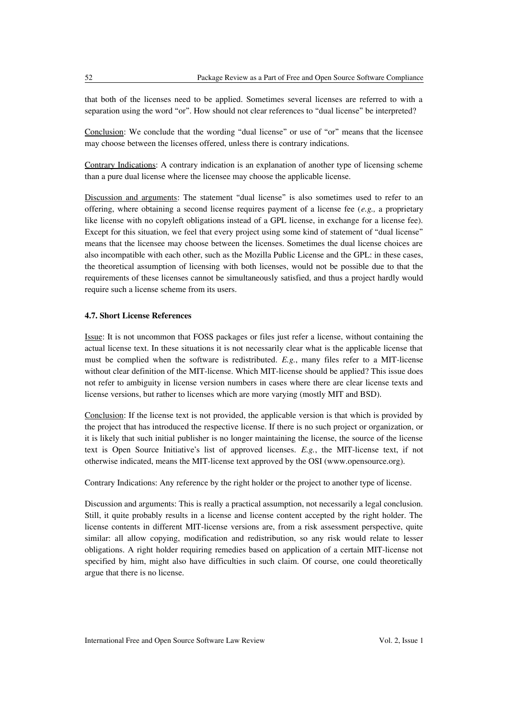that both of the licenses need to be applied. Sometimes several licenses are referred to with a separation using the word "or". How should not clear references to "dual license" be interpreted?

Conclusion: We conclude that the wording "dual license" or use of "or" means that the licensee may choose between the licenses offered, unless there is contrary indications.

Contrary Indications: A contrary indication is an explanation of another type of licensing scheme than a pure dual license where the licensee may choose the applicable license.

Discussion and arguments: The statement "dual license" is also sometimes used to refer to an offering, where obtaining a second license requires payment of a license fee (*e.g.,* a proprietary like license with no copyleft obligations instead of a GPL license, in exchange for a license fee). Except for this situation, we feel that every project using some kind of statement of "dual license" means that the licensee may choose between the licenses. Sometimes the dual license choices are also incompatible with each other, such as the Mozilla Public License and the GPL: in these cases, the theoretical assumption of licensing with both licenses, would not be possible due to that the requirements of these licenses cannot be simultaneously satisfied, and thus a project hardly would require such a license scheme from its users.

#### **4.7. Short License References**

Issue: It is not uncommon that FOSS packages or files just refer a license, without containing the actual license text. In these situations it is not necessarily clear what is the applicable license that must be complied when the software is redistributed. *E.g.*, many files refer to a MIT-license without clear definition of the MIT-license. Which MIT-license should be applied? This issue does not refer to ambiguity in license version numbers in cases where there are clear license texts and license versions, but rather to licenses which are more varying (mostly MIT and BSD).

Conclusion: If the license text is not provided, the applicable version is that which is provided by the project that has introduced the respective license. If there is no such project or organization, or it is likely that such initial publisher is no longer maintaining the license, the source of the license text is Open Source Initiative's list of approved licenses. *E.g.*, the MIT-license text, if not otherwise indicated, means the MIT-license text approved by the OSI (www.opensource.org).

Contrary Indications: Any reference by the right holder or the project to another type of license.

Discussion and arguments: This is really a practical assumption, not necessarily a legal conclusion. Still, it quite probably results in a license and license content accepted by the right holder. The license contents in different MIT-license versions are, from a risk assessment perspective, quite similar: all allow copying, modification and redistribution, so any risk would relate to lesser obligations. A right holder requiring remedies based on application of a certain MIT-license not specified by him, might also have difficulties in such claim. Of course, one could theoretically argue that there is no license.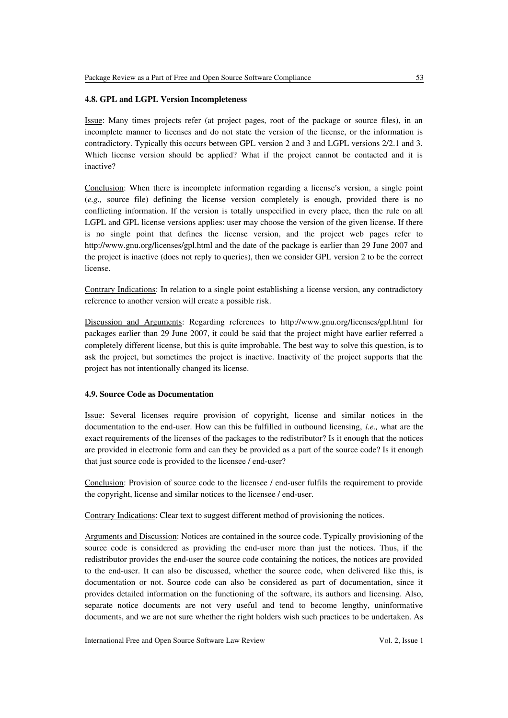### **4.8. GPL and LGPL Version Incompleteness**

Issue: Many times projects refer (at project pages, root of the package or source files), in an incomplete manner to licenses and do not state the version of the license, or the information is contradictory. Typically this occurs between GPL version 2 and 3 and LGPL versions 2/2.1 and 3. Which license version should be applied? What if the project cannot be contacted and it is inactive?

Conclusion: When there is incomplete information regarding a license's version, a single point (*e.g.,* source file) defining the license version completely is enough, provided there is no conflicting information. If the version is totally unspecified in every place, then the rule on all LGPL and GPL license versions applies: user may choose the version of the given license. If there is no single point that defines the license version, and the project web pages refer to http://www.gnu.org/licenses/gpl.html and the date of the package is earlier than 29 June 2007 and the project is inactive (does not reply to queries), then we consider GPL version 2 to be the correct license.

Contrary Indications: In relation to a single point establishing a license version, any contradictory reference to another version will create a possible risk.

Discussion and Arguments: Regarding references to http://www.gnu.org/licenses/gpl.html for packages earlier than 29 June 2007, it could be said that the project might have earlier referred a completely different license, but this is quite improbable. The best way to solve this question, is to ask the project, but sometimes the project is inactive. Inactivity of the project supports that the project has not intentionally changed its license.

# **4.9. Source Code as Documentation**

Issue: Several licenses require provision of copyright, license and similar notices in the documentation to the end-user. How can this be fulfilled in outbound licensing, *i.e.,* what are the exact requirements of the licenses of the packages to the redistributor? Is it enough that the notices are provided in electronic form and can they be provided as a part of the source code? Is it enough that just source code is provided to the licensee / end-user?

Conclusion: Provision of source code to the licensee / end-user fulfils the requirement to provide the copyright, license and similar notices to the licensee / end-user.

Contrary Indications: Clear text to suggest different method of provisioning the notices.

Arguments and Discussion: Notices are contained in the source code. Typically provisioning of the source code is considered as providing the end-user more than just the notices. Thus, if the redistributor provides the end-user the source code containing the notices, the notices are provided to the end-user. It can also be discussed, whether the source code, when delivered like this, is documentation or not. Source code can also be considered as part of documentation, since it provides detailed information on the functioning of the software, its authors and licensing. Also, separate notice documents are not very useful and tend to become lengthy, uninformative documents, and we are not sure whether the right holders wish such practices to be undertaken. As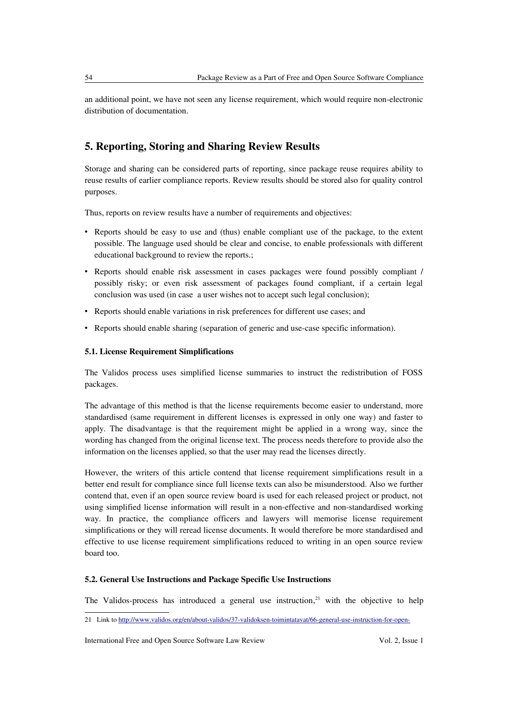an additional point, we have not seen any license requirement, which would require non-electronic distribution of documentation.

# **5. Reporting, Storing and Sharing Review Results**

Storage and sharing can be considered parts of reporting, since package reuse requires ability to reuse results of earlier compliance reports. Review results should be stored also for quality control purposes.

Thus, reports on review results have a number of requirements and objectives:

- Reports should be easy to use and (thus) enable compliant use of the package, to the extent possible. The language used should be clear and concise, to enable professionals with different educational background to review the reports.;
- Reports should enable risk assessment in cases packages were found possibly compliant / possibly risky; or even risk assessment of packages found compliant, if a certain legal conclusion was used (in case a user wishes not to accept such legal conclusion);
- Reports should enable variations in risk preferences for different use cases; and
- Reports should enable sharing (separation of generic and use-case specific information).

# **5.1. License Requirement Simplifications**

The Validos process uses simplified license summaries to instruct the redistribution of FOSS packages.

The advantage of this method is that the license requirements become easier to understand, more standardised (same requirement in different licenses is expressed in only one way) and faster to apply. The disadvantage is that the requirement might be applied in a wrong way, since the wording has changed from the original license text. The process needs therefore to provide also the information on the licenses applied, so that the user may read the licenses directly.

However, the writers of this article contend that license requirement simplifications result in a better end result for compliance since full license texts can also be misunderstood. Also we further contend that, even if an open source review board is used for each released project or product, not using simplified license information will result in a non-effective and non-standardised working way. In practice, the compliance officers and lawyers will memorise license requirement simplifications or they will reread license documents. It would therefore be more standardised and effective to use license requirement simplifications reduced to writing in an open source review board too.

#### **5.2. General Use Instructions and Package Specific Use Instructions**

The Validos-process has introduced a general use instruction, $21$  with the objective to help

<span id="page-15-0"></span><sup>21</sup> Link to [http://www.validos.org/en/about-validos/37-validoksen-toimintatavat/66-general-use-instruction-for-open-](http://www.validos.org/en/about-validos/37-validoksen-toimintatavat/66-general-use-instruction-for-open-source-packages)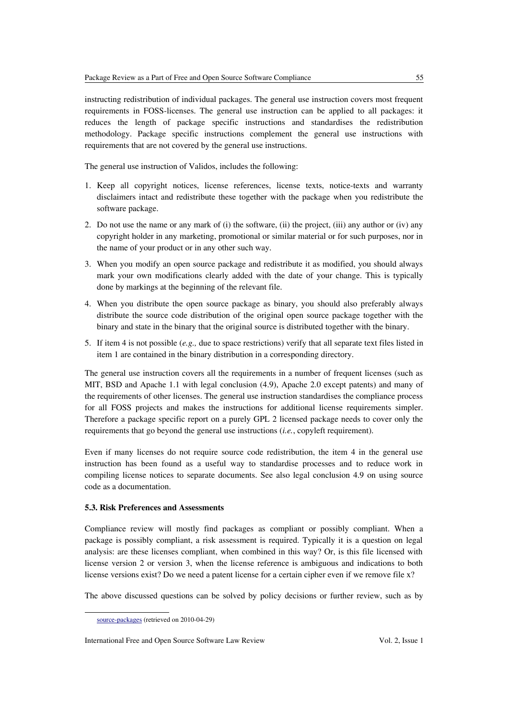instructing redistribution of individual packages. The general use instruction covers most frequent requirements in FOSS-licenses. The general use instruction can be applied to all packages: it reduces the length of package specific instructions and standardises the redistribution methodology. Package specific instructions complement the general use instructions with requirements that are not covered by the general use instructions.

The general use instruction of Validos, includes the following:

- 1. Keep all copyright notices, license references, license texts, notice-texts and warranty disclaimers intact and redistribute these together with the package when you redistribute the software package.
- 2. Do not use the name or any mark of (i) the software, (ii) the project, (iii) any author or (iv) any copyright holder in any marketing, promotional or similar material or for such purposes, nor in the name of your product or in any other such way.
- 3. When you modify an open source package and redistribute it as modified, you should always mark your own modifications clearly added with the date of your change. This is typically done by markings at the beginning of the relevant file.
- 4. When you distribute the open source package as binary, you should also preferably always distribute the source code distribution of the original open source package together with the binary and state in the binary that the original source is distributed together with the binary.
- 5. If item 4 is not possible (*e.g.,* due to space restrictions) verify that all separate text files listed in item 1 are contained in the binary distribution in a corresponding directory.

The general use instruction covers all the requirements in a number of frequent licenses (such as MIT, BSD and Apache 1.1 with legal conclusion (4.9), Apache 2.0 except patents) and many of the requirements of other licenses. The general use instruction standardises the compliance process for all FOSS projects and makes the instructions for additional license requirements simpler. Therefore a package specific report on a purely GPL 2 licensed package needs to cover only the requirements that go beyond the general use instructions (*i.e.*, copyleft requirement).

Even if many licenses do not require source code redistribution, the item 4 in the general use instruction has been found as a useful way to standardise processes and to reduce work in compiling license notices to separate documents. See also legal conclusion 4.9 on using source code as a documentation.

# **5.3. Risk Preferences and Assessments**

Compliance review will mostly find packages as compliant or possibly compliant. When a package is possibly compliant, a risk assessment is required. Typically it is a question on legal analysis: are these licenses compliant, when combined in this way? Or, is this file licensed with license version 2 or version 3, when the license reference is ambiguous and indications to both license versions exist? Do we need a patent license for a certain cipher even if we remove file x?

The above discussed questions can be solved by policy decisions or further review, such as by

[source-packages](http://www.validos.org/en/about-validos/37-validoksen-toimintatavat/66-general-use-instruction-for-open-source-packages) (retrieved on 2010-04-29)

International Free and Open Source Software Law Review Vol. 2, Issue 1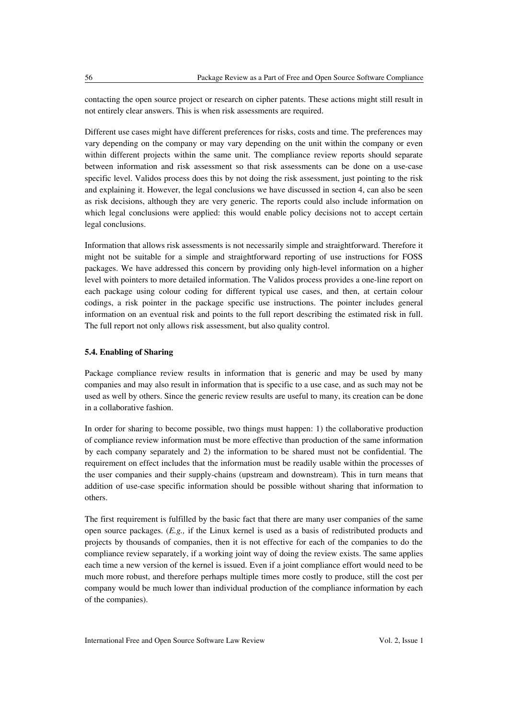contacting the open source project or research on cipher patents. These actions might still result in not entirely clear answers. This is when risk assessments are required.

Different use cases might have different preferences for risks, costs and time. The preferences may vary depending on the company or may vary depending on the unit within the company or even within different projects within the same unit. The compliance review reports should separate between information and risk assessment so that risk assessments can be done on a use-case specific level. Validos process does this by not doing the risk assessment, just pointing to the risk and explaining it. However, the legal conclusions we have discussed in section 4, can also be seen as risk decisions, although they are very generic. The reports could also include information on which legal conclusions were applied: this would enable policy decisions not to accept certain legal conclusions.

Information that allows risk assessments is not necessarily simple and straightforward. Therefore it might not be suitable for a simple and straightforward reporting of use instructions for FOSS packages. We have addressed this concern by providing only high-level information on a higher level with pointers to more detailed information. The Validos process provides a one-line report on each package using colour coding for different typical use cases, and then, at certain colour codings, a risk pointer in the package specific use instructions. The pointer includes general information on an eventual risk and points to the full report describing the estimated risk in full. The full report not only allows risk assessment, but also quality control.

# **5.4. Enabling of Sharing**

Package compliance review results in information that is generic and may be used by many companies and may also result in information that is specific to a use case, and as such may not be used as well by others. Since the generic review results are useful to many, its creation can be done in a collaborative fashion.

In order for sharing to become possible, two things must happen: 1) the collaborative production of compliance review information must be more effective than production of the same information by each company separately and 2) the information to be shared must not be confidential. The requirement on effect includes that the information must be readily usable within the processes of the user companies and their supply-chains (upstream and downstream). This in turn means that addition of use-case specific information should be possible without sharing that information to others.

The first requirement is fulfilled by the basic fact that there are many user companies of the same open source packages. (*E.g.,* if the Linux kernel is used as a basis of redistributed products and projects by thousands of companies, then it is not effective for each of the companies to do the compliance review separately, if a working joint way of doing the review exists. The same applies each time a new version of the kernel is issued. Even if a joint compliance effort would need to be much more robust, and therefore perhaps multiple times more costly to produce, still the cost per company would be much lower than individual production of the compliance information by each of the companies).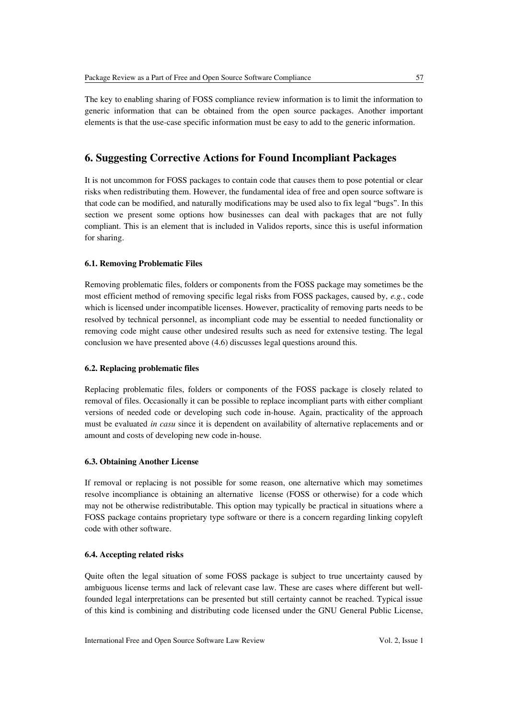The key to enabling sharing of FOSS compliance review information is to limit the information to generic information that can be obtained from the open source packages. Another important elements is that the use-case specific information must be easy to add to the generic information.

# **6. Suggesting Corrective Actions for Found Incompliant Packages**

It is not uncommon for FOSS packages to contain code that causes them to pose potential or clear risks when redistributing them. However, the fundamental idea of free and open source software is that code can be modified, and naturally modifications may be used also to fix legal "bugs". In this section we present some options how businesses can deal with packages that are not fully compliant. This is an element that is included in Validos reports, since this is useful information for sharing.

#### **6.1. Removing Problematic Files**

Removing problematic files, folders or components from the FOSS package may sometimes be the most efficient method of removing specific legal risks from FOSS packages, caused by, *e.g.*, code which is licensed under incompatible licenses. However, practicality of removing parts needs to be resolved by technical personnel, as incompliant code may be essential to needed functionality or removing code might cause other undesired results such as need for extensive testing. The legal conclusion we have presented above (4.6) discusses legal questions around this.

#### **6.2. Replacing problematic files**

Replacing problematic files, folders or components of the FOSS package is closely related to removal of files. Occasionally it can be possible to replace incompliant parts with either compliant versions of needed code or developing such code in-house. Again, practicality of the approach must be evaluated *in casu* since it is dependent on availability of alternative replacements and or amount and costs of developing new code in-house.

#### **6.3. Obtaining Another License**

If removal or replacing is not possible for some reason, one alternative which may sometimes resolve incompliance is obtaining an alternative license (FOSS or otherwise) for a code which may not be otherwise redistributable. This option may typically be practical in situations where a FOSS package contains proprietary type software or there is a concern regarding linking copyleft code with other software.

#### **6.4. Accepting related risks**

Quite often the legal situation of some FOSS package is subject to true uncertainty caused by ambiguous license terms and lack of relevant case law. These are cases where different but wellfounded legal interpretations can be presented but still certainty cannot be reached. Typical issue of this kind is combining and distributing code licensed under the GNU General Public License,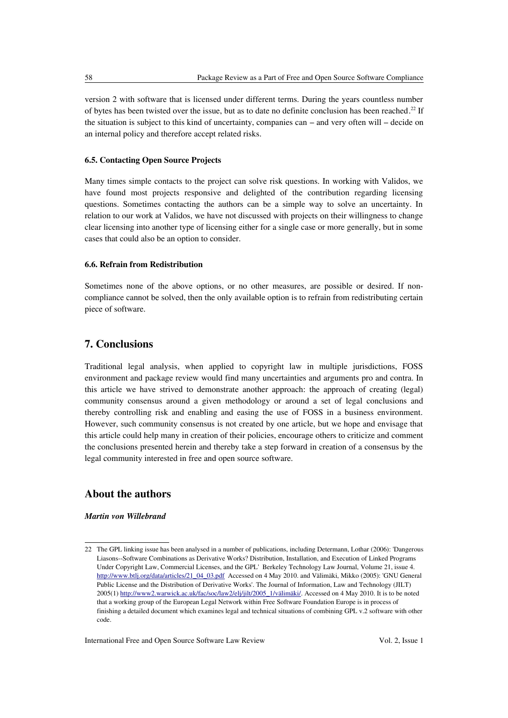version 2 with software that is licensed under different terms. During the years countless number of bytes has been twisted over the issue, but as to date no definite conclusion has been reached.<sup>[22](#page-19-0)</sup> If the situation is subject to this kind of uncertainty, companies can – and very often will – decide on an internal policy and therefore accept related risks.

#### **6.5. Contacting Open Source Projects**

Many times simple contacts to the project can solve risk questions. In working with Validos, we have found most projects responsive and delighted of the contribution regarding licensing questions. Sometimes contacting the authors can be a simple way to solve an uncertainty. In relation to our work at Validos, we have not discussed with projects on their willingness to change clear licensing into another type of licensing either for a single case or more generally, but in some cases that could also be an option to consider.

#### **6.6. Refrain from Redistribution**

Sometimes none of the above options, or no other measures, are possible or desired. If noncompliance cannot be solved, then the only available option is to refrain from redistributing certain piece of software.

# **7. Conclusions**

Traditional legal analysis, when applied to copyright law in multiple jurisdictions, FOSS environment and package review would find many uncertainties and arguments pro and contra. In this article we have strived to demonstrate another approach: the approach of creating (legal) community consensus around a given methodology or around a set of legal conclusions and thereby controlling risk and enabling and easing the use of FOSS in a business environment. However, such community consensus is not created by one article, but we hope and envisage that this article could help many in creation of their policies, encourage others to criticize and comment the conclusions presented herein and thereby take a step forward in creation of a consensus by the legal community interested in free and open source software.

# **About the authors**

#### *Martin von Willebrand*

<span id="page-19-0"></span><sup>22</sup> The GPL linking issue has been analysed in a number of publications, including Determann, Lothar (2006): 'Dangerous Liasons--Software Combinations as Derivative Works? Distribution, Installation, and Execution of Linked Programs Under Copyright Law, Commercial Licenses, and the GPL' Berkeley Technology Law Journal, Volume 21, issue 4. [http://www.btlj.org/data/articles/21\\_04\\_03.pdf](http://www.btlj.org/data/articles/21_04_03.pdf) Accessed on 4 May 2010. and Välimäki, Mikko (2005): 'GNU General Public License and the Distribution of Derivative Works'. The Journal of Information, Law and Technology (JILT) 2005(1) [http://www2.warwick.ac.uk/fac/soc/law2/elj/jilt/2005\\_1/välimäki/.](http://www2.warwick.ac.uk/fac/soc/law2/elj/jilt/2005_1/v%C3%A4lim%C3%A4ki/%3E) Accessed on 4 May 2010. It is to be noted that a working group of the European Legal Network within Free Software Foundation Europe is in process of finishing a detailed document which examines legal and technical situations of combining GPL v.2 software with other code.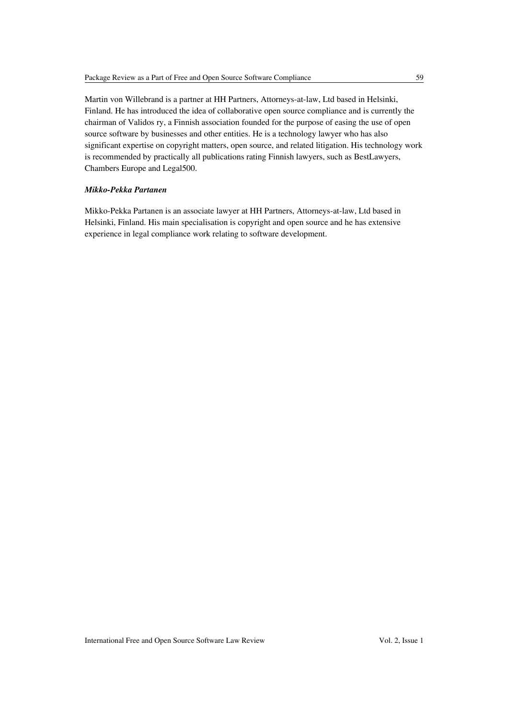Martin von Willebrand is a partner at HH Partners, Attorneys-at-law, Ltd based in Helsinki, Finland. He has introduced the idea of collaborative open source compliance and is currently the chairman of Validos ry, a Finnish association founded for the purpose of easing the use of open source software by businesses and other entities. He is a technology lawyer who has also significant expertise on copyright matters, open source, and related litigation. His technology work is recommended by practically all publications rating Finnish lawyers, such as BestLawyers, Chambers Europe and Legal500.

## *Mikko-Pekka Partanen*

Mikko-Pekka Partanen is an associate lawyer at HH Partners, Attorneys-at-law, Ltd based in Helsinki, Finland. His main specialisation is copyright and open source and he has extensive experience in legal compliance work relating to software development.